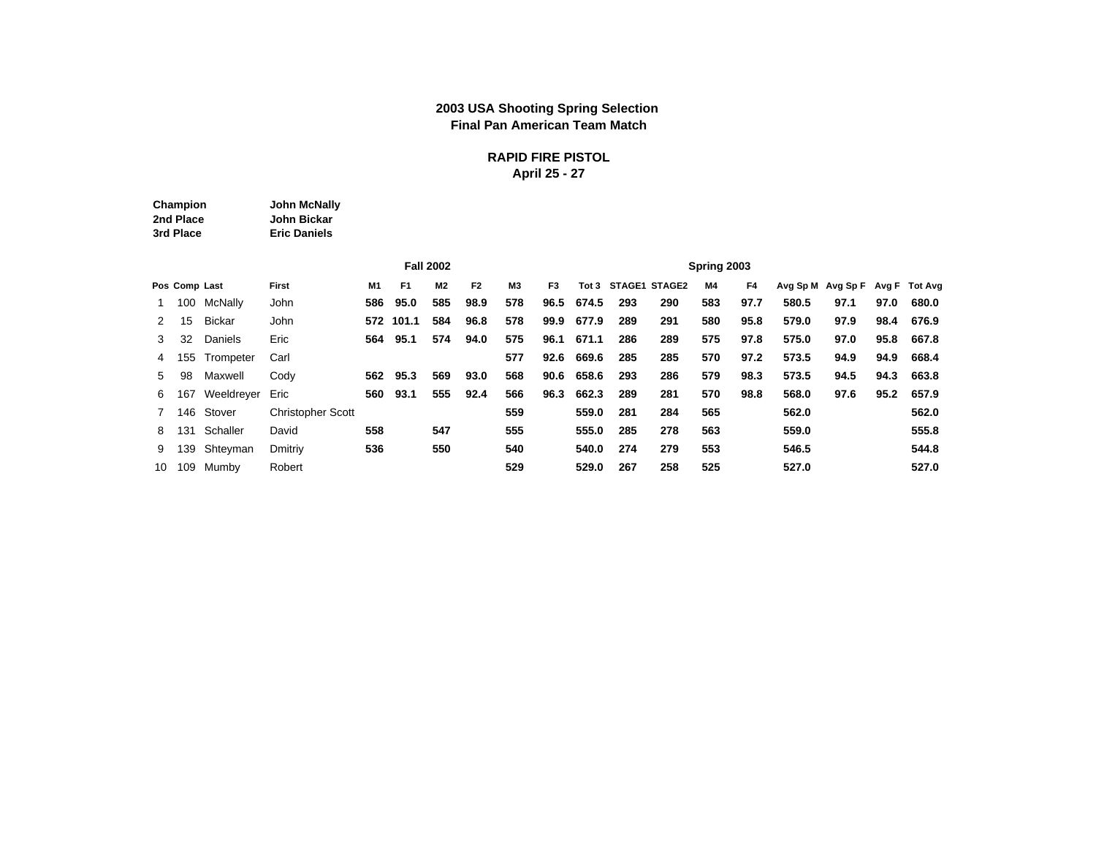### **2003 USA Shooting Spring Selection Final Pan American Team Match**

### **RAPID FIRE PISTOL April 25 - 27**

| Champion  | John McNally        |
|-----------|---------------------|
| 2nd Place | John Bickar         |
| 3rd Place | <b>Eric Daniels</b> |

|             |               |               | <b>Fall 2002</b><br>F <sub>2</sub><br>F <sub>1</sub><br><b>M2</b><br><b>First</b><br>M1 |     |           |     |      |                |                |       |     |                     | Spring 2003 |      |                   |      |      |               |
|-------------|---------------|---------------|-----------------------------------------------------------------------------------------|-----|-----------|-----|------|----------------|----------------|-------|-----|---------------------|-------------|------|-------------------|------|------|---------------|
|             | Pos Comp Last |               |                                                                                         |     |           |     |      | M <sub>3</sub> | F <sub>3</sub> |       |     | Tot 3 STAGE1 STAGE2 | <b>M4</b>   | F4   | Avg Sp M Avg Sp F |      |      | Avg F Tot Avg |
| $1 \quad$   |               | 100 McNally   | John                                                                                    | 586 | 95.0      | 585 | 98.9 | 578            | 96.5           | 674.5 | 293 | 290                 | 583         | 97.7 | 580.5             | 97.1 | 97.0 | 680.0         |
| 2           | 15            | <b>Bickar</b> | John                                                                                    |     | 572 101.1 | 584 | 96.8 | 578            | 99.9           | 677.9 | 289 | 291                 | 580         | 95.8 | 579.0             | 97.9 | 98.4 | 676.9         |
| 3           | 32            | Daniels       | Eric                                                                                    | 564 | 95.1      | 574 | 94.0 | 575            | 96.1           | 671.1 | 286 | 289                 | 575         | 97.8 | 575.0             | 97.0 | 95.8 | 667.8         |
| 4           | 155           | Trompeter     | Carl                                                                                    |     |           |     |      | 577            | 92.6           | 669.6 | 285 | 285                 | 570         | 97.2 | 573.5             | 94.9 | 94.9 | 668.4         |
| 5           | 98            | Maxwell       | Cody                                                                                    | 562 | 95.3      | 569 | 93.0 | 568            | 90.6           | 658.6 | 293 | 286                 | 579         | 98.3 | 573.5             | 94.5 | 94.3 | 663.8         |
| 6           | 167           | Weeldreyer    | Eric                                                                                    | 560 | 93.1      | 555 | 92.4 | 566            | 96.3           | 662.3 | 289 | 281                 | 570         | 98.8 | 568.0             | 97.6 | 95.2 | 657.9         |
| $7^{\circ}$ |               | 146 Stover    | <b>Christopher Scott</b>                                                                |     |           |     |      | 559            |                | 559.0 | 281 | 284                 | 565         |      | 562.0             |      |      | 562.0         |
| 8           |               | 131 Schaller  | David                                                                                   | 558 |           | 547 |      | 555            |                | 555.0 | 285 | 278                 | 563         |      | 559.0             |      |      | 555.8         |
| 9           |               | 139 Shteyman  | Dmitriv                                                                                 | 536 |           | 550 |      | 540            |                | 540.0 | 274 | 279                 | 553         |      | 546.5             |      |      | 544.8         |
| 10          |               | 109 Mumby     | Robert                                                                                  |     |           |     |      | 529            |                | 529.0 | 267 | 258                 | 525         |      | 527.0             |      |      | 527.0         |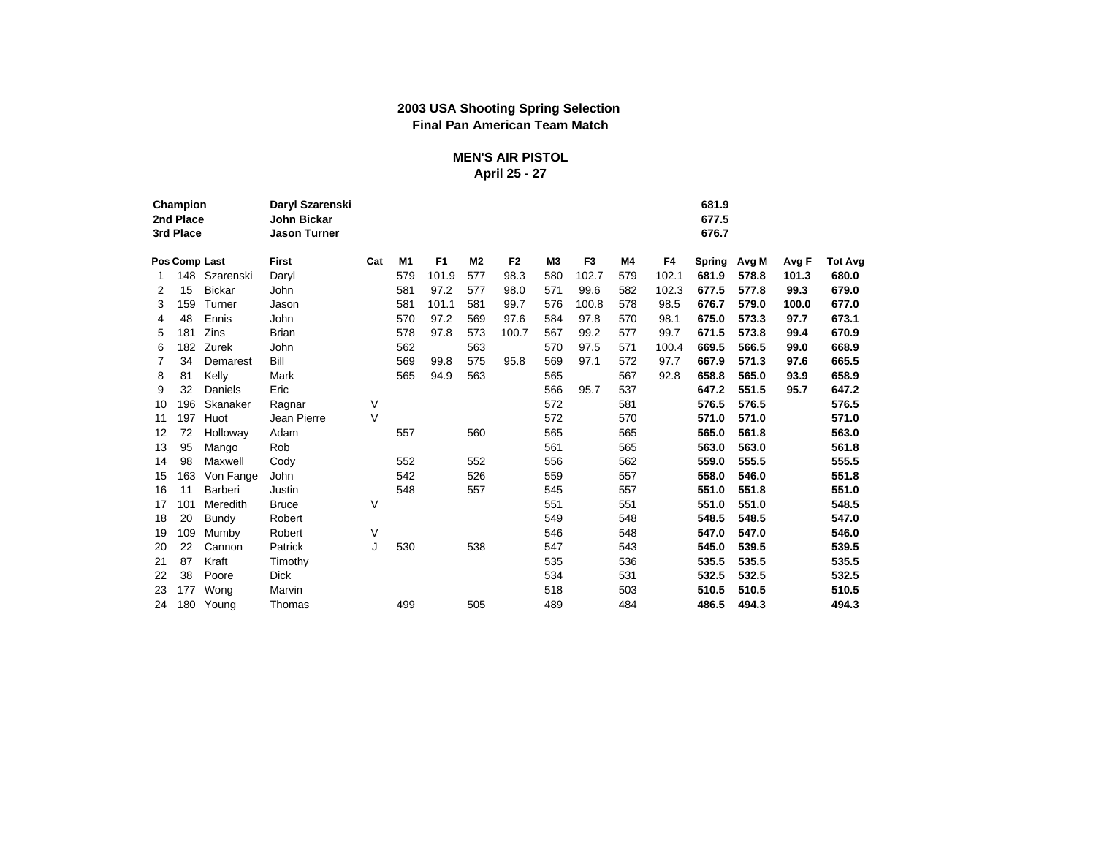### **2003 USA Shooting Spring Selection Final Pan American Team Match**

### **MEN'S AIR PISTOL April 25 - 27**

|    | Champion<br>2nd Place<br>3rd Place |                | Daryl Szarenski<br><b>John Bickar</b><br><b>Jason Turner</b> |     |     |                |                |                |                |                |     |       | 681.9<br>677.5<br>676.7 |       |       |                |
|----|------------------------------------|----------------|--------------------------------------------------------------|-----|-----|----------------|----------------|----------------|----------------|----------------|-----|-------|-------------------------|-------|-------|----------------|
|    | Pos Comp Last                      |                | First                                                        | Cat | M1  | F <sub>1</sub> | M <sub>2</sub> | F <sub>2</sub> | M <sub>3</sub> | F <sub>3</sub> | M4  | F4    | Spring                  | Avg M | Avg F | <b>Tot Avg</b> |
|    |                                    | 148 Szarenski  | Daryl                                                        |     | 579 | 101.9          | 577            | 98.3           | 580            | 102.7          | 579 | 102.1 | 681.9                   | 578.8 | 101.3 | 680.0          |
| 2  | 15                                 | <b>Bickar</b>  | John                                                         |     | 581 | 97.2           | 577            | 98.0           | 571            | 99.6           | 582 | 102.3 | 677.5                   | 577.8 | 99.3  | 679.0          |
| 3  | 159                                | Turner         | Jason                                                        |     | 581 | 101.1          | 581            | 99.7           | 576            | 100.8          | 578 | 98.5  | 676.7                   | 579.0 | 100.0 | 677.0          |
| 4  | 48                                 | Ennis          | John                                                         |     | 570 | 97.2           | 569            | 97.6           | 584            | 97.8           | 570 | 98.1  | 675.0                   | 573.3 | 97.7  | 673.1          |
| 5  | 181                                | Zins           | <b>Brian</b>                                                 |     | 578 | 97.8           | 573            | 100.7          | 567            | 99.2           | 577 | 99.7  | 671.5                   | 573.8 | 99.4  | 670.9          |
| 6  | 182                                | Zurek          | John                                                         |     | 562 |                | 563            |                | 570            | 97.5           | 571 | 100.4 | 669.5                   | 566.5 | 99.0  | 668.9          |
| 7  | 34                                 | Demarest       | Bill                                                         |     | 569 | 99.8           | 575            | 95.8           | 569            | 97.1           | 572 | 97.7  | 667.9                   | 571.3 | 97.6  | 665.5          |
| 8  | 81                                 | Kelly          | Mark                                                         |     | 565 | 94.9           | 563            |                | 565            |                | 567 | 92.8  | 658.8                   | 565.0 | 93.9  | 658.9          |
| 9  | 32                                 | Daniels        | Eric                                                         |     |     |                |                |                | 566            | 95.7           | 537 |       | 647.2                   | 551.5 | 95.7  | 647.2          |
| 10 | 196                                | Skanaker       | Ragnar                                                       | V   |     |                |                |                | 572            |                | 581 |       | 576.5                   | 576.5 |       | 576.5          |
| 11 | 197                                | Huot           | Jean Pierre                                                  | V   |     |                |                |                | 572            |                | 570 |       | 571.0                   | 571.0 |       | 571.0          |
| 12 | 72                                 | Holloway       | Adam                                                         |     | 557 |                | 560            |                | 565            |                | 565 |       | 565.0                   | 561.8 |       | 563.0          |
| 13 | 95                                 | Mango          | Rob                                                          |     |     |                |                |                | 561            |                | 565 |       | 563.0                   | 563.0 |       | 561.8          |
| 14 | 98                                 | Maxwell        | Cody                                                         |     | 552 |                | 552            |                | 556            |                | 562 |       | 559.0                   | 555.5 |       | 555.5          |
| 15 | 163                                | Von Fange      | John                                                         |     | 542 |                | 526            |                | 559            |                | 557 |       | 558.0                   | 546.0 |       | 551.8          |
| 16 | 11                                 | <b>Barberi</b> | Justin                                                       |     | 548 |                | 557            |                | 545            |                | 557 |       | 551.0                   | 551.8 |       | 551.0          |
| 17 | 101                                | Meredith       | <b>Bruce</b>                                                 | V   |     |                |                |                | 551            |                | 551 |       | 551.0                   | 551.0 |       | 548.5          |
| 18 | 20                                 | <b>Bundy</b>   | Robert                                                       |     |     |                |                |                | 549            |                | 548 |       | 548.5                   | 548.5 |       | 547.0          |
| 19 | 109                                | Mumby          | Robert                                                       | V   |     |                |                |                | 546            |                | 548 |       | 547.0                   | 547.0 |       | 546.0          |
| 20 | 22                                 | Cannon         | Patrick                                                      | J   | 530 |                | 538            |                | 547            |                | 543 |       | 545.0                   | 539.5 |       | 539.5          |
| 21 | 87                                 | Kraft          | Timothy                                                      |     |     |                |                |                | 535            |                | 536 |       | 535.5                   | 535.5 |       | 535.5          |
| 22 | 38                                 | Poore          | <b>Dick</b>                                                  |     |     |                |                |                | 534            |                | 531 |       | 532.5                   | 532.5 |       | 532.5          |
| 23 | 177                                | Wong           | Marvin                                                       |     |     |                |                |                | 518            |                | 503 |       | 510.5                   | 510.5 |       | 510.5          |
| 24 |                                    | 180 Young      | Thomas                                                       |     | 499 |                | 505            |                | 489            |                | 484 |       | 486.5                   | 494.3 |       | 494.3          |
|    |                                    |                |                                                              |     |     |                |                |                |                |                |     |       |                         |       |       |                |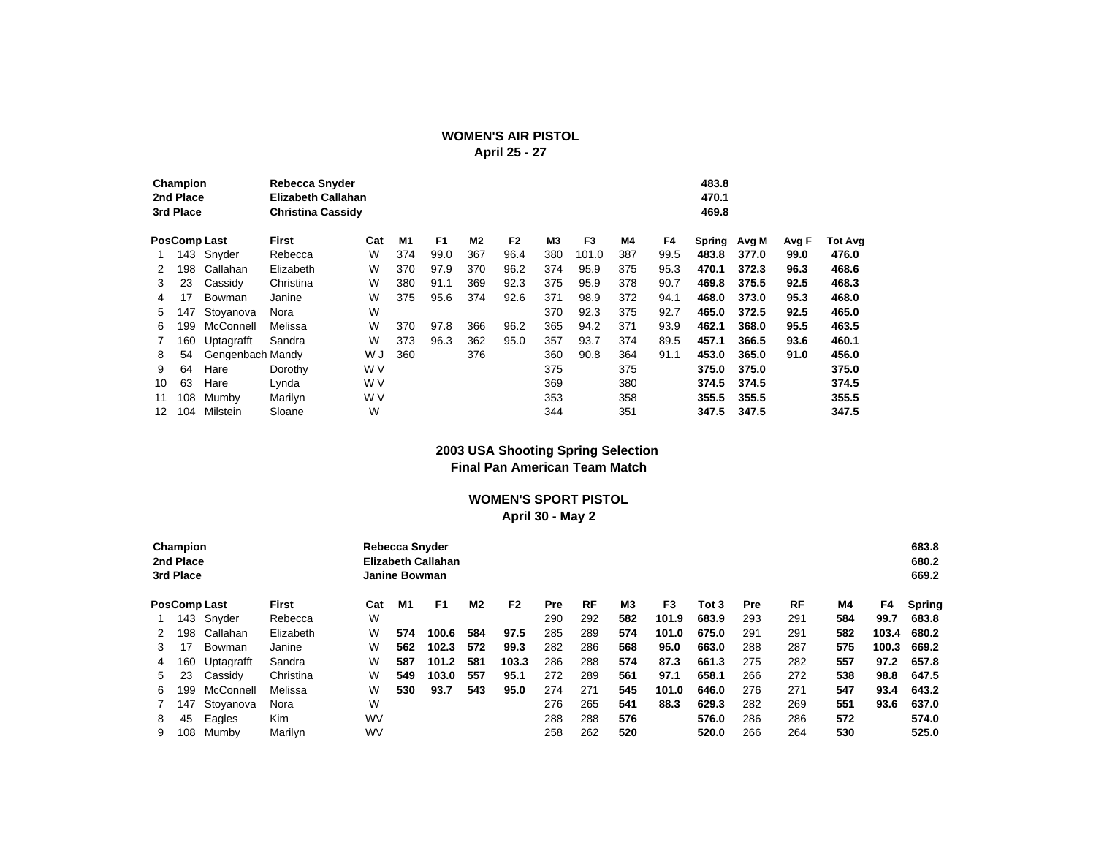### **WOMEN'S AIR PISTOL**

**April 25 - 27**

|    |                                                                                                                                                                                   |                  | <b>Rebecca Snyder</b><br>Elizabeth Callahan<br><b>Christina Cassidy</b> |     |     |                |                |                |     |       |     |      | 483.8<br>470.1<br>469.8 |       |       |                |
|----|-----------------------------------------------------------------------------------------------------------------------------------------------------------------------------------|------------------|-------------------------------------------------------------------------|-----|-----|----------------|----------------|----------------|-----|-------|-----|------|-------------------------|-------|-------|----------------|
|    | Champion<br>2nd Place<br>3rd Place<br><b>PosComp Last</b><br>143 Snyder<br>Callahan<br>198<br>Cassidy<br>23<br>17<br>Bowman<br>147<br>McConnell<br>199<br>160<br>Uptagrafft<br>54 |                  | <b>First</b>                                                            | Cat | M1  | F <sub>1</sub> | M <sub>2</sub> | F <sub>2</sub> | M3  | F3    | M4  | F4   | Spring                  | Avg M | Avg F | <b>Tot Avg</b> |
|    |                                                                                                                                                                                   |                  | Rebecca                                                                 | W   | 374 | 99.0           | 367            | 96.4           | 380 | 101.0 | 387 | 99.5 | 483.8                   | 377.0 | 99.0  | 476.0          |
|    |                                                                                                                                                                                   |                  | Elizabeth                                                               | W   | 370 | 97.9           | 370            | 96.2           | 374 | 95.9  | 375 | 95.3 | 470.1                   | 372.3 | 96.3  | 468.6          |
| 3  |                                                                                                                                                                                   |                  | Christina                                                               | W   | 380 | 91.1           | 369            | 92.3           | 375 | 95.9  | 378 | 90.7 | 469.8                   | 375.5 | 92.5  | 468.3          |
| 4  |                                                                                                                                                                                   |                  | Janine                                                                  | W   | 375 | 95.6           | 374            | 92.6           | 371 | 98.9  | 372 | 94.1 | 468.0                   | 373.0 | 95.3  | 468.0          |
| 5  |                                                                                                                                                                                   | Stoyanova        | Nora                                                                    | W   |     |                |                |                | 370 | 92.3  | 375 | 92.7 | 465.0                   | 372.5 | 92.5  | 465.0          |
| 6  |                                                                                                                                                                                   |                  | Melissa                                                                 | W   | 370 | 97.8           | 366            | 96.2           | 365 | 94.2  | 371 | 93.9 | 462.1                   | 368.0 | 95.5  | 463.5          |
|    |                                                                                                                                                                                   |                  | Sandra                                                                  | W   | 373 | 96.3           | 362            | 95.0           | 357 | 93.7  | 374 | 89.5 | 457.1                   | 366.5 | 93.6  | 460.1          |
| 8  |                                                                                                                                                                                   | Gengenbach Mandy |                                                                         | W J | 360 |                | 376            |                | 360 | 90.8  | 364 | 91.1 | 453.0                   | 365.0 | 91.0  | 456.0          |
| 9  | 64                                                                                                                                                                                | Hare             | Dorothy                                                                 | W V |     |                |                |                | 375 |       | 375 |      | 375.0                   | 375.0 |       | 375.0          |
| 10 | 63                                                                                                                                                                                | Hare             | Lynda                                                                   | W V |     |                |                |                | 369 |       | 380 |      | 374.5                   | 374.5 |       | 374.5          |
| 11 | 108                                                                                                                                                                               | Mumby            | Marilyn                                                                 | W V |     |                |                |                | 353 |       | 358 |      | 355.5                   | 355.5 |       | 355.5          |
| 12 | 104                                                                                                                                                                               | Milstein         | Sloane                                                                  | W   |     |                |                |                | 344 |       | 351 |      | 347.5                   | 347.5 |       | 347.5          |

#### **2003 USA Shooting Spring Selection Final Pan American Team Match**

#### **WOMEN'S SPORT PISTOL April 30 - May 2**

|    |                                                                                                                                                  |           |           |     | Rebecca Snyder<br><b>Janine Bowman</b> | <b>Elizabeth Callahan</b> |           |                |            |     |     |       |       |            |           |     |       | 683.8<br>680.2<br>669.2 |
|----|--------------------------------------------------------------------------------------------------------------------------------------------------|-----------|-----------|-----|----------------------------------------|---------------------------|-----------|----------------|------------|-----|-----|-------|-------|------------|-----------|-----|-------|-------------------------|
|    | Champion<br>2nd Place<br>3rd Place<br>143<br>Snyder<br>198<br>Callahan<br>17<br>Bowman<br>160<br>Uptagrafft<br>23<br>Cassidy<br>McConnell<br>199 |           | First     | Cat | M1                                     | F1                        | <b>M2</b> | F <sub>2</sub> | <b>Pre</b> | RF  | MЗ  | F3    | Tot 3 | <b>Pre</b> | <b>RF</b> | M4  | F4    | <b>Spring</b>           |
|    |                                                                                                                                                  |           | Rebecca   | W   |                                        |                           |           |                | 290        | 292 | 582 | 101.9 | 683.9 | 293        | 291       | 584 | 99.7  | 683.8                   |
| 2  |                                                                                                                                                  |           | Elizabeth | W   | 574                                    | 100.6                     | 584       | 97.5           | 285        | 289 | 574 | 101.0 | 675.0 | 291        | 291       | 582 | 103.4 | 680.2                   |
| 3  |                                                                                                                                                  |           | Janine    | W   | 562                                    | 102.3                     | 572       | 99.3           | 282        | 286 | 568 | 95.0  | 663.0 | 288        | 287       | 575 | 100.3 | 669.2                   |
| 4  |                                                                                                                                                  |           | Sandra    | W   | 587                                    | 101.2                     | 581       | 103.3          | 286        | 288 | 574 | 87.3  | 661.3 | 275        | 282       | 557 | 97.2  | 657.8                   |
| 5  |                                                                                                                                                  |           | Christina | W   | 549                                    | 103.0                     | 557       | 95.1           | 272        | 289 | 561 | 97.1  | 658.1 | 266        | 272       | 538 | 98.8  | 647.5                   |
| 6. |                                                                                                                                                  |           | Melissa   | W   | 530                                    | 93.7                      | 543       | 95.0           | 274        | 271 | 545 | 101.0 | 646.0 | 276        | 271       | 547 | 93.4  | 643.2                   |
|    | 147                                                                                                                                              | Stovanova | Nora      | W   |                                        |                           |           |                | 276        | 265 | 541 | 88.3  | 629.3 | 282        | 269       | 551 | 93.6  | 637.0                   |
| 8  | 45                                                                                                                                               | Eagles    | Kim       | WV  |                                        |                           |           |                | 288        | 288 | 576 |       | 576.0 | 286        | 286       | 572 |       | 574.0                   |
| 9  | <b>PosComp Last</b><br>108<br>Mumby                                                                                                              |           | Marilyn   | WV  |                                        |                           |           |                | 258        | 262 | 520 |       | 520.0 | 266        | 264       | 530 |       | 525.0                   |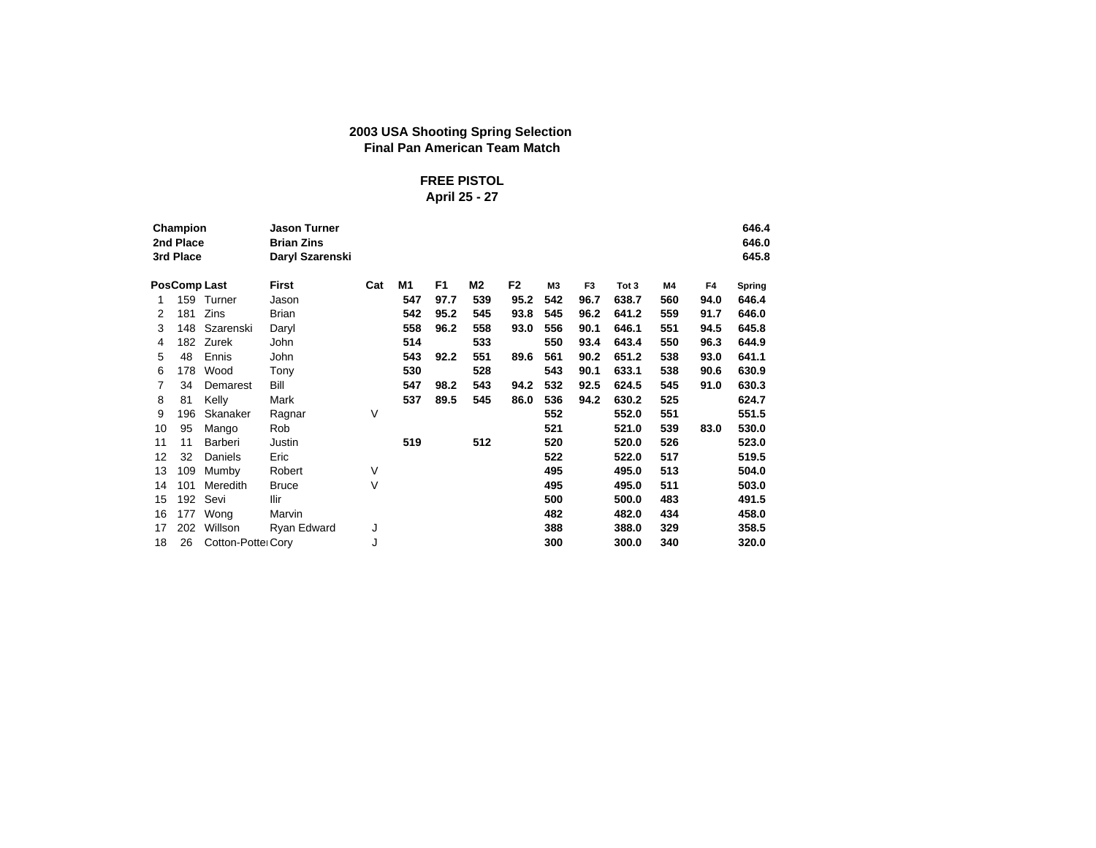## **2003 USA Shooting Spring Selection Final Pan American Team Match**

### **FREE PISTOL April 25 - 27**

|    |                                                                                                                                                                                                                                                                                              |                    | <b>Jason Turner</b><br><b>Brian Zins</b><br>Daryl Szarenski |     |     |                |     |      |                |                |       |     |      | 646.4<br>646.0<br>645.8 |
|----|----------------------------------------------------------------------------------------------------------------------------------------------------------------------------------------------------------------------------------------------------------------------------------------------|--------------------|-------------------------------------------------------------|-----|-----|----------------|-----|------|----------------|----------------|-------|-----|------|-------------------------|
|    | Champion<br>2nd Place<br>3rd Place<br><b>PosComp Last</b><br>159<br>Turner<br>Zins<br>181<br>148<br>182<br>Zurek<br>48<br>Ennis<br>178<br>Wood<br>34<br>81<br>Kelly<br>196<br>95<br>Mango<br>11<br>Barberi<br>32<br>Daniels<br>109<br>Mumby<br>101<br>Meredith<br>192<br>Sevi<br>177<br>Wong |                    | First                                                       | Cat | M1  | F <sub>1</sub> | M2  | F2   | M <sub>3</sub> | F <sub>3</sub> | Tot 3 | M4  | F4   | Spring                  |
| 1  |                                                                                                                                                                                                                                                                                              |                    | Jason                                                       |     | 547 | 97.7           | 539 | 95.2 | 542            | 96.7           | 638.7 | 560 | 94.0 | 646.4                   |
| 2  |                                                                                                                                                                                                                                                                                              |                    | <b>Brian</b>                                                |     | 542 | 95.2           | 545 | 93.8 | 545            | 96.2           | 641.2 | 559 | 91.7 | 646.0                   |
| 3  |                                                                                                                                                                                                                                                                                              | Szarenski          | Daryl                                                       |     | 558 | 96.2           | 558 | 93.0 | 556            | 90.1           | 646.1 | 551 | 94.5 | 645.8                   |
| 4  |                                                                                                                                                                                                                                                                                              |                    | John                                                        |     | 514 |                | 533 |      | 550            | 93.4           | 643.4 | 550 | 96.3 | 644.9                   |
| 5  |                                                                                                                                                                                                                                                                                              |                    | John                                                        |     | 543 | 92.2           | 551 | 89.6 | 561            | 90.2           | 651.2 | 538 | 93.0 | 641.1                   |
| 6  |                                                                                                                                                                                                                                                                                              |                    | Tony                                                        |     | 530 |                | 528 |      | 543            | 90.1           | 633.1 | 538 | 90.6 | 630.9                   |
| 7  |                                                                                                                                                                                                                                                                                              | Demarest           | Bill                                                        |     | 547 | 98.2           | 543 | 94.2 | 532            | 92.5           | 624.5 | 545 | 91.0 | 630.3                   |
| 8  |                                                                                                                                                                                                                                                                                              |                    | Mark                                                        |     | 537 | 89.5           | 545 | 86.0 | 536            | 94.2           | 630.2 | 525 |      | 624.7                   |
| 9  |                                                                                                                                                                                                                                                                                              | Skanaker           | Ragnar                                                      | V   |     |                |     |      | 552            |                | 552.0 | 551 |      | 551.5                   |
| 10 |                                                                                                                                                                                                                                                                                              |                    | Rob                                                         |     |     |                |     |      | 521            |                | 521.0 | 539 | 83.0 | 530.0                   |
| 11 |                                                                                                                                                                                                                                                                                              |                    | Justin                                                      |     | 519 |                | 512 |      | 520            |                | 520.0 | 526 |      | 523.0                   |
| 12 |                                                                                                                                                                                                                                                                                              |                    | Eric                                                        |     |     |                |     |      | 522            |                | 522.0 | 517 |      | 519.5                   |
| 13 |                                                                                                                                                                                                                                                                                              |                    | Robert                                                      | V   |     |                |     |      | 495            |                | 495.0 | 513 |      | 504.0                   |
| 14 |                                                                                                                                                                                                                                                                                              |                    | <b>Bruce</b>                                                | ٧   |     |                |     |      | 495            |                | 495.0 | 511 |      | 503.0                   |
| 15 |                                                                                                                                                                                                                                                                                              |                    | <b>Ilir</b>                                                 |     |     |                |     |      | 500            |                | 500.0 | 483 |      | 491.5                   |
| 16 |                                                                                                                                                                                                                                                                                              |                    | Marvin                                                      |     |     |                |     |      | 482            |                | 482.0 | 434 |      | 458.0                   |
| 17 | 202                                                                                                                                                                                                                                                                                          | Willson            | Ryan Edward                                                 | J   |     |                |     |      | 388            |                | 388.0 | 329 |      | 358.5                   |
| 18 | 26                                                                                                                                                                                                                                                                                           | Cotton-Potter Cory |                                                             | J   |     |                |     |      | 300            |                | 300.0 | 340 |      | 320.0                   |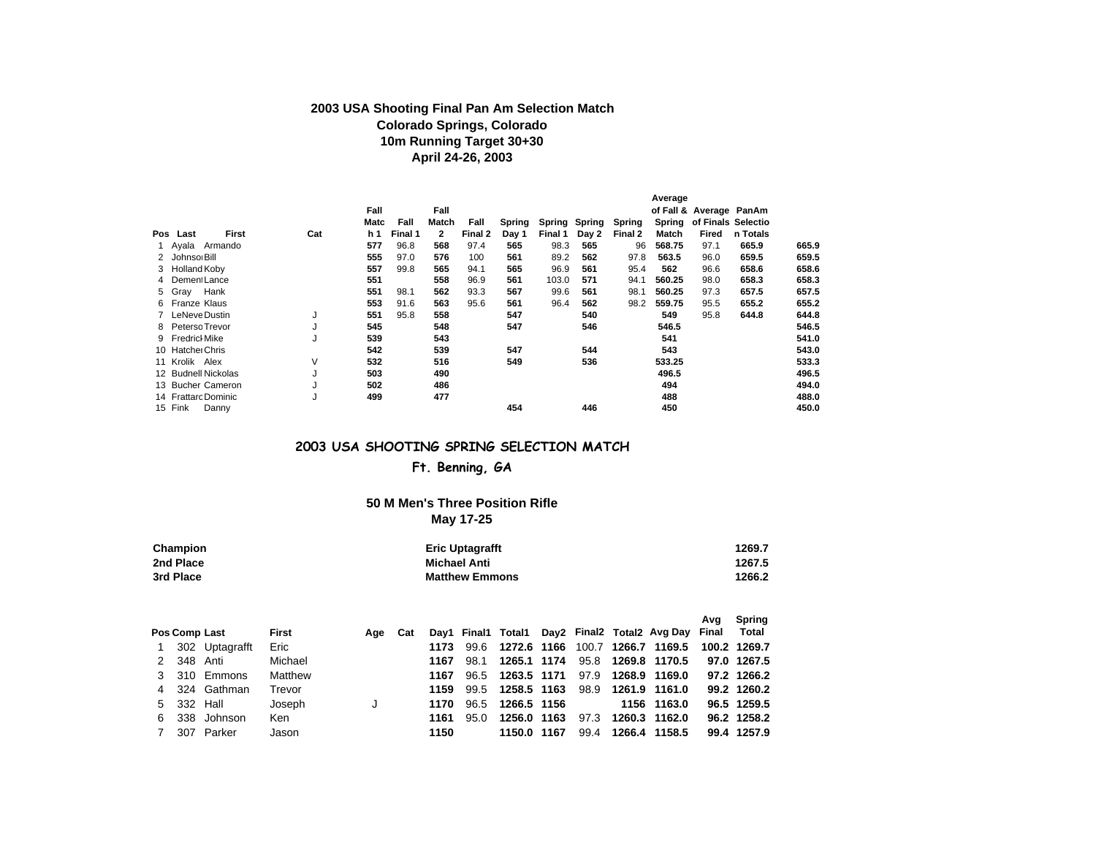### **2003 USA Shooting Final Pan Am Selection Match Colorado Springs, Colorado 10m Running Target 30+30 April 24-26, 2003**

|                  |                     |     |            |         |              |         |        |         |        |         | Average |                         |          |       |
|------------------|---------------------|-----|------------|---------|--------------|---------|--------|---------|--------|---------|---------|-------------------------|----------|-------|
|                  |                     |     | Fall       |         | Fall         |         |        |         |        |         |         | of Fall & Average PanAm |          |       |
|                  |                     |     | Matc       | Fall    | Match        | Fall    | Spring | Spring  | Spring | Spring  | Spring  | of Finals Selectio      |          |       |
| Pos Last         | First               | Cat | <b>h</b> 1 | Final 1 | $\mathbf{2}$ | Final 2 | Day 1  | Final 1 | Day 2  | Final 2 | Match   | Fired                   | n Totals |       |
|                  | Ayala Armando       |     | 577        | 96.8    | 568          | 97.4    | 565    | 98.3    | 565    | 96      | 568.75  | 97.1                    | 665.9    | 665.9 |
| 2 Johnsor Bill   |                     |     | 555        | 97.0    | 576          | 100     | 561    | 89.2    | 562    | 97.8    | 563.5   | 96.0                    | 659.5    | 659.5 |
| 3 Holland Koby   |                     |     | 557        | 99.8    | 565          | 94.1    | 565    | 96.9    | 561    | 95.4    | 562     | 96.6                    | 658.6    | 658.6 |
| 4 Dement Lance   |                     |     | 551        |         | 558          | 96.9    | 561    | 103.0   | 571    | 94.1    | 560.25  | 98.0                    | 658.3    | 658.3 |
| 5 Gray           | Hank                |     | 551        | 98.1    | 562          | 93.3    | 567    | 99.6    | 561    | 98.1    | 560.25  | 97.3                    | 657.5    | 657.5 |
| 6 Franze Klaus   |                     |     | 553        | 91.6    | 563          | 95.6    | 561    | 96.4    | 562    | 98.2    | 559.75  | 95.5                    | 655.2    | 655.2 |
|                  | LeNeve Dustin       | J   | 551        | 95.8    | 558          |         | 547    |         | 540    |         | 549     | 95.8                    | 644.8    | 644.8 |
|                  | 8 Peterso Trevor    | J   | 545        |         | 548          |         | 547    |         | 546    |         | 546.5   |                         |          | 546.5 |
| 9 Fredrich Mike  |                     | J   | 539        |         | 543          |         |        |         |        |         | 541     |                         |          | 541.0 |
| 10 Hatcher Chris |                     |     | 542        |         | 539          |         | 547    |         | 544    |         | 543     |                         |          | 543.0 |
| 11 Krolik Alex   |                     | V   | 532        |         | 516          |         | 549    |         | 536    |         | 533.25  |                         |          | 533.3 |
|                  | 12 Budnell Nickolas | J   | 503        |         | 490          |         |        |         |        |         | 496.5   |                         |          | 496.5 |
|                  | 13 Bucher Cameron   | J   | 502        |         | 486          |         |        |         |        |         | 494     |                         |          | 494.0 |
|                  | 14 Frattarc Dominic | J   | 499        |         | 477          |         |        |         |        |         | 488     |                         |          | 488.0 |
| 15 Fink          | Danny               |     |            |         |              |         | 454    |         | 446    |         | 450     |                         |          | 450.0 |

### **2003 USA SHOOTING SPRING SELECTION MATCH**

### **Ft. Benning, GA**

#### **50 M Men's Three Position Rifle May 17-25**

| Champion  | <b>Eric Uptagrafft</b> | 1269.7 |
|-----------|------------------------|--------|
| 2nd Place | Michael Anti           | 1267.5 |
| 3rd Place | <b>Matthew Emmons</b>  | 1266.2 |

|   |            |                      |         |         |      |      |                  |      |                                                     | Ava | Spring       |
|---|------------|----------------------|---------|---------|------|------|------------------|------|-----------------------------------------------------|-----|--------------|
|   |            | <b>Pos Comp Last</b> | First   | Age Cat |      |      |                  |      | Day1 Final1 Total1 Day2 Final2 Total2 Avg Day Final |     | Total        |
|   |            | 302 Uptagrafft       | Eric    |         | 1173 |      | 99.6 1272.6 1166 |      | 100.7 1266.7 1169.5                                 |     | 100.2 1269.7 |
|   | 2 348 Anti |                      | Michael |         | 1167 | 98.1 | 1265.1 1174      |      | 95.8 1269.8 1170.5                                  |     | 97.0 1267.5  |
|   |            | 3 310 Emmons         | Matthew |         | 1167 |      | 96.5 1263.5 1171 |      | 97.9 1268.9 1169.0                                  |     | 97.2 1266.2  |
|   |            | 4 324 Gathman        | Trevor  |         | 1159 |      | 99.5 1258.5 1163 |      | 98.9 1261.9 1161.0                                  |     | 99.2 1260.2  |
|   | 5 332 Hall |                      | Joseph  |         | 1170 | 96.5 | 1266.5 1156      |      | 1156 1163.0                                         |     | 96.5 1259.5  |
| 6 |            | 338 Johnson          | Ken     |         | 1161 | 95.0 | 1256.0 1163      | 97.3 | 1260.3 1162.0                                       |     | 96.2 1258.2  |
|   |            | 307 Parker           | Jason   |         | 1150 |      | 1150.0 1167      | 99.4 | 1266.4 1158.5                                       |     | 99.4 1257.9  |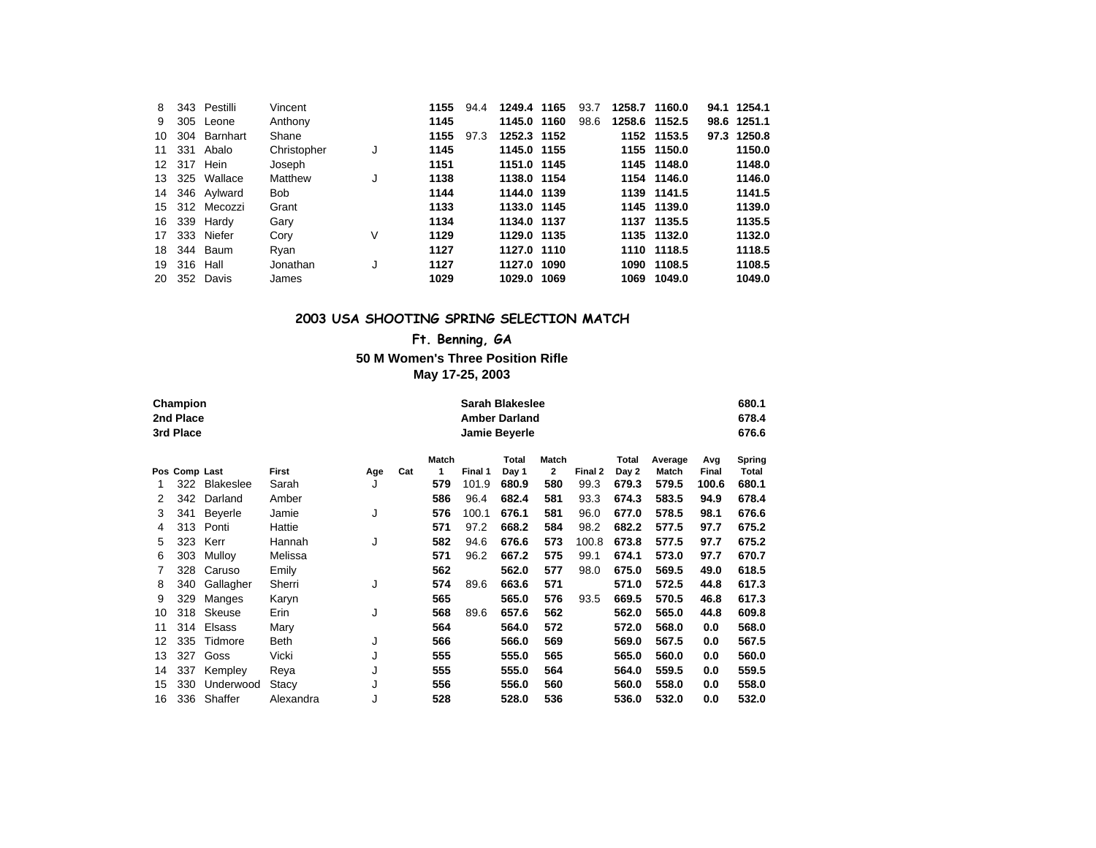| 8   |          | 343 Pestilli   | Vincent     |   | 1155 | 94.4 | 1249.4 1165 | 93.7 | 1258.7 1160.0 |             | 94.1 1254.1 |
|-----|----------|----------------|-------------|---|------|------|-------------|------|---------------|-------------|-------------|
| 9   |          | 305 Leone      | Anthony     |   | 1145 |      | 1145.0 1160 | 98.6 | 1258.6 1152.5 |             | 98.6 1251.1 |
| 10  |          | 304 Barnhart   | Shane       |   | 1155 | 97.3 | 1252.3 1152 |      |               | 1152 1153.5 | 97.3 1250.8 |
| 11  |          | 331 Abalo      | Christopher | J | 1145 |      | 1145.0 1155 |      |               | 1155 1150.0 | 1150.0      |
|     |          | 12 317 Hein    | Joseph      |   | 1151 |      | 1151.0 1145 |      |               | 1145 1148.0 | 1148.0      |
|     |          | 13 325 Wallace | Matthew     | J | 1138 |      | 1138.0 1154 |      |               | 1154 1146.0 | 1146.0      |
| 14  |          | 346 Aylward    | Bob         |   | 1144 |      | 1144.0 1139 |      |               | 1139 1141.5 | 1141.5      |
|     |          | 15 312 Mecozzi | Grant       |   | 1133 |      | 1133.0 1145 |      |               | 1145 1139.0 | 1139.0      |
|     |          | 16 339 Hardy   | Gary        |   | 1134 |      | 1134.0 1137 |      |               | 1137 1135.5 | 1135.5      |
| 17  |          | 333 Niefer     | Cory        | V | 1129 |      | 1129.0 1135 |      |               | 1135 1132.0 | 1132.0      |
| 18. |          | 344 Baum       | Ryan        |   | 1127 |      | 1127.0 1110 |      |               | 1110 1118.5 | 1118.5      |
| 19  | 316 Hall |                | Jonathan    |   | 1127 |      | 1127.0 1090 |      |               | 1090 1108.5 | 1108.5      |
| 20  |          | 352 Davis      | James       |   | 1029 |      | 1029.0 1069 |      | 1069          | 1049.0      | 1049.0      |

#### **2003 USA SHOOTING SPRING SELECTION MATCH**

# **Ft. Benning, GA**

#### **50 M Women's Three Position Rifle May 17-25, 2003**

|    | Champion<br>2nd Place<br>3rd Place |           |           |          |     |       |         | <b>Sarah Blakeslee</b><br><b>Amber Darland</b><br>Jamie Beyerle |                |         |       |         |       | 680.1<br>678.4<br>676.6 |
|----|------------------------------------|-----------|-----------|----------|-----|-------|---------|-----------------------------------------------------------------|----------------|---------|-------|---------|-------|-------------------------|
|    |                                    |           |           |          |     |       |         |                                                                 |                |         |       |         |       |                         |
|    |                                    |           |           |          |     | Match |         | Total                                                           | Match          |         | Total | Average | Avg   | Spring                  |
|    | Pos Comp Last                      |           | First     | Age      | Cat | 1     | Final 1 | Day 1                                                           | $\overline{2}$ | Final 2 | Day 2 | Match   | Final | Total                   |
|    | 322                                | Blakeslee | Sarah     | J        |     | 579   | 101.9   | 680.9                                                           | 580            | 99.3    | 679.3 | 579.5   | 100.6 | 680.1                   |
| 2  | 342                                | Darland   | Amber     |          |     | 586   | 96.4    | 682.4                                                           | 581            | 93.3    | 674.3 | 583.5   | 94.9  | 678.4                   |
| 3  | 341                                | Beyerle   | Jamie     | J<br>576 |     |       | 100.1   | 676.1                                                           | 581            | 96.0    | 677.0 | 578.5   | 98.1  | 676.6                   |
| 4  | 313                                | Ponti     | Hattie    | 571      |     |       | 97.2    | 668.2                                                           | 584            | 98.2    | 682.2 | 577.5   | 97.7  | 675.2                   |
| 5  | 323                                | Kerr      | Hannah    | J<br>582 |     |       | 94.6    | 676.6                                                           | 573            | 100.8   | 673.8 | 577.5   | 97.7  | 675.2                   |
| 6  | 303                                | Mulloy    | Melissa   |          |     | 571   | 96.2    | 667.2                                                           | 575            | 99.1    | 674.1 | 573.0   | 97.7  | 670.7                   |
| 7  | 328                                | Caruso    | Emily     |          |     | 562   |         | 562.0                                                           | 577            | 98.0    | 675.0 | 569.5   | 49.0  | 618.5                   |
| 8  | 340                                | Gallagher | Sherri    | J        |     | 574   | 89.6    | 663.6                                                           | 571            |         | 571.0 | 572.5   | 44.8  | 617.3                   |
| 9  | 329                                | Manges    | Karyn     |          |     | 565   |         | 565.0                                                           | 576            | 93.5    | 669.5 | 570.5   | 46.8  | 617.3                   |
| 10 | 318                                | Skeuse    | Erin      | J        |     | 568   | 89.6    | 657.6                                                           | 562            |         | 562.0 | 565.0   | 44.8  | 609.8                   |
| 11 | 314                                | Elsass    | Mary      |          |     | 564   |         | 564.0                                                           | 572            |         | 572.0 | 568.0   | 0.0   | 568.0                   |
| 12 | 335                                | Tidmore   | Beth      | J        |     | 566   |         | 566.0                                                           | 569            |         | 569.0 | 567.5   | 0.0   | 567.5                   |
| 13 | 327                                | Goss      | Vicki     | J        |     | 555   |         | 555.0                                                           | 565            |         | 565.0 | 560.0   | 0.0   | 560.0                   |
| 14 | 337                                | Kempley   | Reya      | J        |     | 555   |         | 555.0                                                           | 564            |         | 564.0 | 559.5   | 0.0   | 559.5                   |
| 15 | 330                                | Underwood | Stacy     | J        |     | 556   |         | 556.0                                                           | 560            |         | 560.0 | 558.0   | 0.0   | 558.0                   |
| 16 | 336                                | Shaffer   | Alexandra | J        |     | 528   |         | 528.0                                                           | 536            |         | 536.0 | 532.0   | 0.0   | 532.0                   |